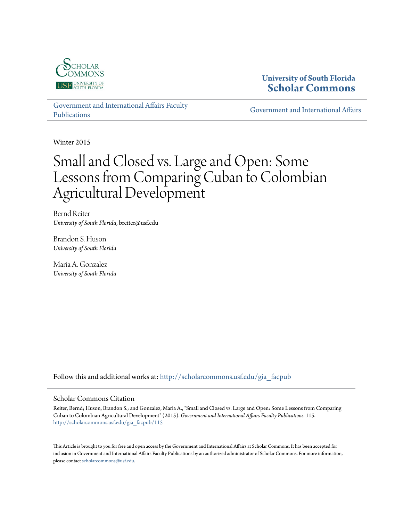

### **University of South Florida [Scholar Commons](http://scholarcommons.usf.edu?utm_source=scholarcommons.usf.edu%2Fgia_facpub%2F115&utm_medium=PDF&utm_campaign=PDFCoverPages)**

[Government and International Affairs Faculty](http://scholarcommons.usf.edu/gia_facpub?utm_source=scholarcommons.usf.edu%2Fgia_facpub%2F115&utm_medium=PDF&utm_campaign=PDFCoverPages) [Publications](http://scholarcommons.usf.edu/gia_facpub?utm_source=scholarcommons.usf.edu%2Fgia_facpub%2F115&utm_medium=PDF&utm_campaign=PDFCoverPages)

[Government and International Affairs](http://scholarcommons.usf.edu/gia?utm_source=scholarcommons.usf.edu%2Fgia_facpub%2F115&utm_medium=PDF&utm_campaign=PDFCoverPages)

Winter 2015

# Small and Closed vs. Large and Open: Some Lessons from Comparing Cuban to Colombian Agricultural Development

Bernd Reiter *University of South Florida*, breiter@usf.edu

Brandon S. Huson *University of South Florida*

Maria A. Gonzalez *University of South Florida*

Follow this and additional works at: [http://scholarcommons.usf.edu/gia\\_facpub](http://scholarcommons.usf.edu/gia_facpub?utm_source=scholarcommons.usf.edu%2Fgia_facpub%2F115&utm_medium=PDF&utm_campaign=PDFCoverPages)

#### Scholar Commons Citation

Reiter, Bernd; Huson, Brandon S.; and Gonzalez, Maria A., "Small and Closed vs. Large and Open: Some Lessons from Comparing Cuban to Colombian Agricultural Development" (2015). *Government and International Affairs Faculty Publications*. 115. [http://scholarcommons.usf.edu/gia\\_facpub/115](http://scholarcommons.usf.edu/gia_facpub/115?utm_source=scholarcommons.usf.edu%2Fgia_facpub%2F115&utm_medium=PDF&utm_campaign=PDFCoverPages)

This Article is brought to you for free and open access by the Government and International Affairs at Scholar Commons. It has been accepted for inclusion in Government and International Affairs Faculty Publications by an authorized administrator of Scholar Commons. For more information, please contact [scholarcommons@usf.edu.](mailto:scholarcommons@usf.edu)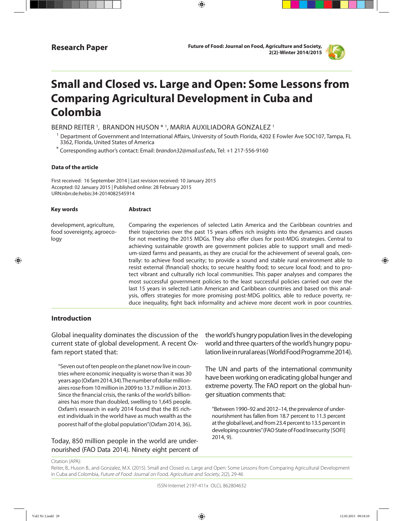**Research Paper Future of Food: Journal on Food, Agriculture and Society, 2(2)-Winter 2014/2015**



## **Small and Closed vs. Large and Open: Some Lessons from Comparing Agricultural Development in Cuba and Colombia**

⊕

BERND REITER <sup>1</sup>, BRANDON HUSON \* <sup>1</sup>, MARIA AUXILIADORA GONZALEZ <sup>1</sup>

 $1$  Department of Government and International Affairs, University of South Florida, 4202 E Fowler Ave SOC107, Tampa, FL 3362, Florida, United States of America

\* Corresponding author's contact: Email: brandon32@mail.usf.edu, Tel: +1 217-556-9160

#### **Data of the article**

First received: 16 September 2014 | Last revision received: 10 January 2015 Accepted: 02 January 2015 | Published online: 28 February 2015 URN:nbn:de:hebis:34-2014082545914

| <b>Key words</b>                                                | <b>Abstract</b>                                                                                                                                                                                                                                                                                                                                                                                                                                                                                                                                                                                                                                                                                                                                                                                                                                                                                                                                                                                                                                                                                                                                  |
|-----------------------------------------------------------------|--------------------------------------------------------------------------------------------------------------------------------------------------------------------------------------------------------------------------------------------------------------------------------------------------------------------------------------------------------------------------------------------------------------------------------------------------------------------------------------------------------------------------------------------------------------------------------------------------------------------------------------------------------------------------------------------------------------------------------------------------------------------------------------------------------------------------------------------------------------------------------------------------------------------------------------------------------------------------------------------------------------------------------------------------------------------------------------------------------------------------------------------------|
| development, agriculture,<br>food sovereignty, agroeco-<br>logy | Comparing the experiences of selected Latin America and the Caribbean countries and<br>their trajectories over the past 15 years offers rich insights into the dynamics and causes<br>for not meeting the 2015 MDGs. They also offer clues for post-MDG strategies. Central to<br>achieving sustainable growth are government policies able to support small and medi-<br>um-sized farms and peasants, as they are crucial for the achievement of several goals, cen-<br>trally: to achieve food security; to provide a sound and stable rural environment able to<br>resist external (financial) shocks; to secure healthy food; to secure local food; and to pro-<br>tect vibrant and culturally rich local communities. This paper analyses and compares the<br>most successful government policies to the least successful policies carried out over the<br>last 15 years in selected Latin American and Caribbean countries and based on this anal-<br>ysis, offers strategies for more promising post-MDG politics, able to reduce poverty, re-<br>duce inequality, fight back informality and achieve more decent work in poor countries. |

#### **Introduction**

⊕

Global inequality dominates the discussion of the current state of global development. A recent Oxfam report stated that:

"Seven out of ten people on the planet now live in countries where economic inequality is worse than it was 30 years ago (Oxfam 2014,34).The number of dollar millionaires rose from 10 million in 2009 to 13.7 million in 2013. Since the fnancial crisis, the ranks of the world's billionaires has more than doubled, swelling to 1,645 people. Oxfam's research in early 2014 found that the 85 richest individuals in the world have as much wealth as the poorest half of the global population"(Oxfam 2014, 36).

Today, 850 million people in the world are undernourished (FAO Data 2014). Ninety eight percent of the world's hungry population lives in the developing world and three quarters of the world's hungry population live in rural areas (World Food Programme 2014).

The UN and parts of the international community have been working on eradicating global hunger and extreme poverty. The FAO report on the global hunger situation comments that:

"Between 1990–92 and 2012–14, the prevalence of undernourishment has fallen from 18.7 percent to 11.3 percent at the global level, and from 23.4 percent to 13.5 percent in developing countries" (FAO State of Food Insecurity [SOFI] 2014, 9).

Citation (APA):

Reiter, B., Huson B., and Gonzalez, M.X. (2015). Small and Closed vs. Large and Open: Some Lessons from Comparing Agricultural Development in Cuba and Colombia, Future of Food: Journal on Food, Agriculture and Society, 2(2), 29-46

ISSN-Internet 2197-411x OLCL 862804632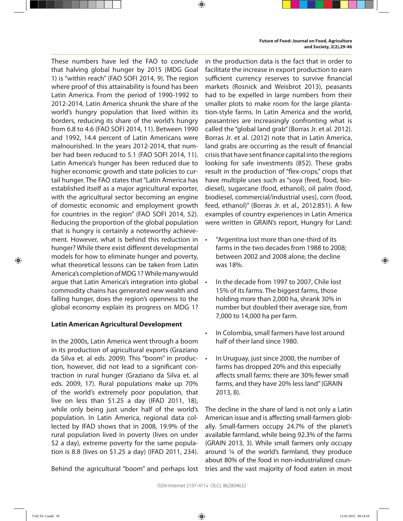These numbers have led the FAO to conclude that halving global hunger by 2015 (MDG Goal 1) is "within reach" (FAO SOFI 2014, 9). The region where proof of this attainability is found has been Latin America. From the period of 1990-1992 to 2012-2014, Latin America shrunk the share of the world's hungry population that lived within its borders, reducing its share of the world's hungry from 6.8 to 4.6 (FAO SOFI 2014, 11). Between 1990 and 1992, 14.4 percent of Latin Americans were malnourished. In the years 2012-2014, that number had been reduced to 5.1 (FAO SOFI 2014, 11). Latin America's hunger has been reduced due to higher economic growth and state policies to curtail hunger. The FAO states that "Latin America has established itself as a major agricultural exporter, with the agricultural sector becoming an engine of domestic economic and employment growth for countries in the region" (FAO SOFI 2014, 52). Reducing the proportion of the global population that is hungry is certainly a noteworthy achievement. However, what is behind this reduction in hunger? While there exist diferent developmental models for how to eliminate hunger and poverty, what theoretical lessons can be taken from Latin America's completion of MDG 1? While many would argue that Latin America's integration into global commodity chains has generated new wealth and falling hunger, does the region's openness to the global economy explain its progress on MDG 1?

#### **Latin American Agricultural Development**

In the 2000s, Latin America went through a boom in its production of agricultural exports (Graziano da Silva et. al eds. 2009). This "boom" in production, however, did not lead to a signifcant contraction in rural hunger (Graziano da Silva et. al eds. 2009, 17). Rural populations make up 70% of the world's extremely poor population, that live on less than \$1.25 a day (IFAD 2011, 18), while only being just under half of the world's population. In Latin America, regional data collected by IFAD shows that in 2008, 19.9% of the rural population lived in poverty (lives on under \$2 a day), extreme poverty for the same population is 8.8 (lives on \$1.25 a day) (IFAD 2011, 234).

Behind the agricultural "boom" and perhaps lost tries and the vast majority of food eaten in most

in the production data is the fact that in order to facilitate the increase in export production to earn sufficient currency reserves to survive financial markets (Rosnick and Weisbrot 2013), peasants had to be expelled in large numbers from their smaller plots to make room for the large plantation-style farms. In Latin America and the world, peasantries are increasingly confronting what is called the "global land grab" (Borras Jr. et al. 2012). Borras Jr. et al. (2012) note that in Latin America, land grabs are occurring as the result of fnancial crisis that have sent fnance capital into the regions looking for safe investments (852). These grabs result in the production of "fex-crops," crops that have multiple uses such as "soya (feed, food, biodiesel), sugarcane (food, ethanol), oil palm (food, biodiesel, commercial/industrial uses), corn (food, feed, ethanol)" (Borras Jr. et al., 2012:851). A few examples of country experiences in Latin America were written in GRAIN's report, Hungry for Land:

- "Argentina lost more than one-third of its farms in the two decades from 1988 to 2008; between 2002 and 2008 alone, the decline was 18%.
- In the decade from 1997 to 2007, Chile lost 15% of its farms. The biggest farms, those holding more than 2,000 ha, shrank 30% in number but doubled their average size, from 7,000 to 14,000 ha per farm.
- In Colombia, small farmers have lost around half of their land since 1980.
- In Uruguay, just since 2000, the number of farms has dropped 20% and this especially afects small farms: there are 30% fewer small farms, and they have 20% less land" (GRAIN 2013, 8).

The decline in the share of land is not only a Latin American issue and is afecting small-farmers globally. Small-farmers occupy 24.7% of the planet's available farmland, while being 92.3% of the farms (GRAIN 2013, 3). While small farmers only occupy around ¼ of the world's farmland, they produce about 80% of the food in non-industrialized coun-

⊕

⊕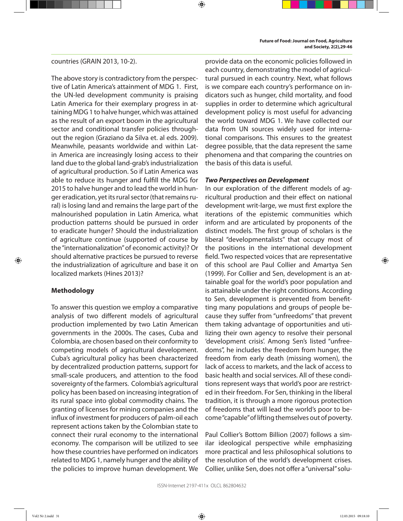#### countries (GRAIN 2013, 10-2).

The above story is contradictory from the perspective of Latin America's attainment of MDG 1. First, the UN-led development community is praising Latin America for their exemplary progress in attaining MDG 1 to halve hunger, which was attained as the result of an export boom in the agricultural sector and conditional transfer policies throughout the region (Graziano da Silva et. al eds. 2009). Meanwhile, peasants worldwide and within Latin America are increasingly losing access to their land due to the global land-grab's industrialization of agricultural production. So if Latin America was able to reduce its hunger and fulfll the MDG for 2015 to halve hunger and to lead the world in hunger eradication, yet its rural sector (that remains rural) is losing land and remains the large part of the malnourished population in Latin America, what production patterns should be pursued in order to eradicate hunger? Should the industrialization of agriculture continue (supported of course by the "internationalization" of economic activity)? Or should alternative practices be pursued to reverse the industrialization of agriculture and base it on localized markets (Hines 2013)?

#### **Methodology**

To answer this question we employ a comparative analysis of two diferent models of agricultural production implemented by two Latin American governments in the 2000s. The cases, Cuba and Colombia, are chosen based on their conformity to competing models of agricultural development. Cuba's agricultural policy has been characterized by decentralized production patterns, support for small-scale producers, and attention to the food sovereignty of the farmers. Colombia's agricultural policy has been based on increasing integration of its rural space into global commodity chains. The granting of licenses for mining companies and the infux of investment for producers of palm-oil each represent actions taken by the Colombian state to connect their rural economy to the international economy. The comparison will be utilized to see how these countries have performed on indicators related to MDG 1, namely hunger and the ability of the policies to improve human development. We

provide data on the economic policies followed in each country, demonstrating the model of agricultural pursued in each country. Next, what follows is we compare each country's performance on indicators such as hunger, child mortality, and food supplies in order to determine which agricultural development policy is most useful for advancing the world toward MDG 1. We have collected our data from UN sources widely used for international comparisons. This ensures to the greatest degree possible, that the data represent the same phenomena and that comparing the countries on the basis of this data is useful.

#### **Two Perspectives on Development**

⊕

In our exploration of the diferent models of agricultural production and their efect on national development writ-large, we must frst explore the iterations of the epistemic communities which inform and are articulated by proponents of the distinct models. The frst group of scholars is the liberal "developmentalists" that occupy most of the positions in the international development feld. Two respected voices that are representative of this school are Paul Collier and Amartya Sen (1999). For Collier and Sen, development is an attainable goal for the world's poor population and is attainable under the right conditions. According to Sen, development is prevented from beneftting many populations and groups of people because they suffer from "unfreedoms" that prevent them taking advantage of opportunities and utilizing their own agency to resolve their personal 'development crisis'. Among Sen's listed "unfreedoms", he includes the freedom from hunger, the freedom from early death (missing women), the lack of access to markets, and the lack of access to basic health and social services. All of these conditions represent ways that world's poor are restricted in their freedom. For Sen, thinking in the liberal tradition, it is through a more rigorous protection of freedoms that will lead the world's poor to become "capable" of lifting themselves out of poverty.

Paul Collier's Bottom Billion (2007) follows a similar ideological perspective while emphasizing more practical and less philosophical solutions to the resolution of the world's development crises. Collier, unlike Sen, does not offer a "universal" solu-

⊕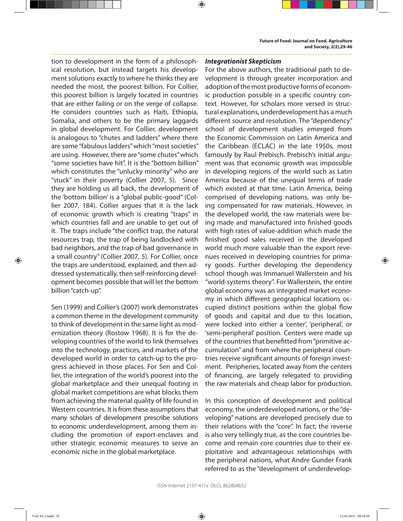tion to development in the form of a philosophical resolution, but instead targets his development solutions exactly to where he thinks they are needed the most, the poorest billion. For Collier, this poorest billion is largely located in countries that are either failing or on the verge of collapse. He considers countries such as Haiti, Ethiopia, Somalia, and others to be the primary laggards in global development. For Collier, development is analogous to "chutes and ladders" where there are some "fabulous ladders" which "most societies" are using. However, there are "some chutes" which "some societies have hit". It is the "bottom billion" which constitutes the "unlucky minority" who are "stuck" in their poverty (Collier 2007, 5). Since they are holding us all back, the development of the 'bottom billion' is a "global public-good" (Collier 2007, 184). Collier argues that it is the lack of economic growth which is creating "traps" in which countries fall and are unable to get out of it. The traps include "the confict trap, the natural resources trap, the trap of being landlocked with bad neighbors, and the trap of bad governance in a small country" (Collier 2007, 5). For Collier, once the traps are understood, explained, and then addressed systematically, then self-reinforcing development becomes possible that will let the bottom billion "catch-up".

Sen (1999) and Collier's (2007) work demonstrates a common theme in the development community to think of development in the same light as modernization theory (Rostow 1968). It is for the developing countries of the world to link themselves into the technology, practices, and markets of the developed world in order to catch-up to the progress achieved in those places. For Sen and Collier, the integration of the world's poorest into the global marketplace and their unequal footing in global market competitions are what blocks them from achieving the material quality of life found in Western countries. It is from these assumptions that many scholars of development prescribe solutions to economic underdevelopment, among them including the promotion of export-enclaves and other strategic economic measures to serve an economic niche in the global marketplace.

#### **Integrationist Skepticism**

⊕

For the above authors, the traditional path to development is through greater incorporation and adoption of the most productive forms of economic production possible in a specifc country context. However, for scholars more versed in structural explanations, underdevelopment has a much diferent source and resolution. The "dependency" school of development studies emerged from the Economic Commission on Latin America and the Caribbean (ECLAC) in the late 1950s, most famously by Raul Prebisch. Prebisch's initial argument was that economic growth was impossible in developing regions of the world such as Latin America because of the unequal terms of trade which existed at that time. Latin America, being comprised of developing nations, was only being compensated for raw materials. However, in the developed world, the raw materials were being made and manufactured into fnished goods with high rates of value-addition which made the fnished good sales received in the developed world much more valuable than the export revenues received in developing countries for primary goods. Further developing the dependency school though was Immanuel Wallerstein and his "world-systems theory". For Wallerstein, the entire global economy was an integrated market economy in which diferent geographical locations occupied distinct positions within the global flow of goods and capital and due to this location, were locked into either a 'center', 'peripheral', or 'semi-peripheral' position. Centers were made up of the countries that beneftted from "primitive accumulation" and from where the peripheral countries receive signifcant amounts of foreign investment. Peripheries, located away from the centers of fnancing, are largely relegated to providing the raw materials and cheap labor for production.

In this conception of development and political economy, the underdeveloped nations, or the "developing" nations are developed precisely due to their relations with the "core". In fact, the reverse is also very tellingly true, as the core countries become and remain core countries due to their exploitative and advantageous relationships with the peripheral nations, what Andre Gunder Frank referred to as the "development of underdevelop-

⊕

Vol2 Nr 2.indd 32 12.03.2015 09:18:10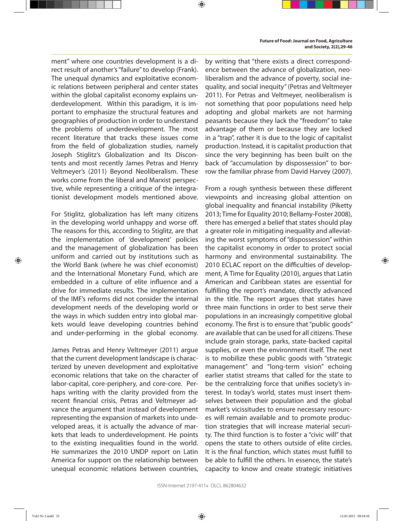ment" where one countries development is a direct result of another's "failure" to develop (Frank). The unequal dynamics and exploitative economic relations between peripheral and center states within the global capitalist economy explains underdevelopment. Within this paradigm, it is important to emphasize the structural features and geographies of production in order to understand the problems of underdevelopment. The most recent literature that tracks these issues come from the feld of globalization studies, namely Joseph Stiglitz's Globalization and Its Discontents and most recently James Petras and Henry Veltmeyer's (2011) Beyond Neoliberalism. These works come from the liberal and Marxist perspective, while representing a critique of the integrationist development models mentioned above.

For Stiglitz, globalization has left many citizens in the developing world unhappy and worse off. The reasons for this, according to Stiglitz, are that the implementation of 'development' policies and the management of globalization has been uniform and carried out by institutions such as the World Bank (where he was chief economist) and the International Monetary Fund, which are embedded in a culture of elite infuence and a drive for immediate results. The implementation of the IMF's reforms did not consider the internal development needs of the developing world or the ways in which sudden entry into global markets would leave developing countries behind and under-performing in the global economy.

James Petras and Henry Veltmeyer (2011) argue that the current development landscape is characterized by uneven development and exploitative economic relations that take on the character of labor-capital, core-periphery, and core-core. Perhaps writing with the clarity provided from the recent fnancial crisis, Petras and Veltmeyer advance the argument that instead of development representing the expansion of markets into undeveloped areas, it is actually the advance of markets that leads to underdevelopment. He points to the existing inequalities found in the world. He summarizes the 2010 UNDP report on Latin America for support on the relationship between unequal economic relations between countries, by writing that "there exists a direct correspondence between the advance of globalization, neoliberalism and the advance of poverty, social inequality, and social inequity" (Petras and Veltmeyer 2011). For Petras and Veltmeyer, neoliberalism is not something that poor populations need help adopting and global markets are not harming peasants because they lack the "freedom" to take advantage of them or because they are locked in a "trap", rather it is due to the logic of capitalist production. Instead, it is capitalist production that since the very beginning has been built on the back of "accumulation by dispossession" to borrow the familiar phrase from David Harvey (2007).

From a rough synthesis between these diferent viewpoints and increasing global attention on global inequality and fnancial instability (Piketty 2013; Time for Equality 2010; Bellamy-Foster 2008), there has emerged a belief that states should play a greater role in mitigating inequality and alleviating the worst symptoms of "dispossession" within the capitalist economy in order to protect social harmony and environmental sustainability. The 2010 ECLAC report on the difficulties of development, A Time for Equality (2010), argues that Latin American and Caribbean states are essential for fulflling the report's mandate, directly advanced in the title. The report argues that states have three main functions in order to best serve their populations in an increasingly competitive global economy. The frst is to ensure that "public goods" are available that can be used for all citizens. These include grain storage, parks, state-backed capital supplies, or even the environment itself. The next is to mobilize these public goods with "strategic management" and "long-term vision" echoing earlier statist streams that called for the state to be the centralizing force that unifes society's interest. In today's world, states must insert themselves between their population and the global market's vicissitudes to ensure necessary resources will remain available and to promote production strategies that will increase material security. The third function is to foster a "civic will" that opens the state to others outside of elite circles. It is the fnal function, which states must fulfll to be able to fulfll the others. In essence, the state's capacity to know and create strategic initiatives

⊕

⊕

Vol2 Nr 2.indd 33 12.03.2015 09:18:10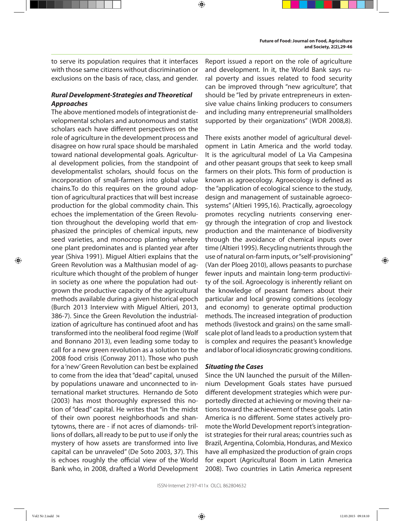to serve its population requires that it interfaces with those same citizens without discrimination or exclusions on the basis of race, class, and gender.

⊕

#### **Rural Development-Strategies and Theoretical Approaches**

The above mentioned models of integrationist developmental scholars and autonomous and statist scholars each have diferent perspectives on the role of agriculture in the development process and disagree on how rural space should be marshaled toward national developmental goals. Agricultural development policies, from the standpoint of developmentalist scholars, should focus on the incorporation of small-farmers into global value chains.To do this requires on the ground adoption of agricultural practices that will best increase production for the global commodity chain. This echoes the implementation of the Green Revolution throughout the developing world that emphasized the principles of chemical inputs, new seed varieties, and monocrop planting whereby one plant predominates and is planted year after year (Shiva 1991). Miguel Altieri explains that the Green Revolution was a Malthusian model of agriculture which thought of the problem of hunger in society as one where the population had outgrown the productive capacity of the agricultural methods available during a given historical epoch (Burch 2013 Interview with Miguel Altieri, 2013, 386-7). Since the Green Revolution the industrialization of agriculture has continued afoot and has transformed into the neoliberal food regime (Wolf and Bonnano 2013), even leading some today to call for a new green revolution as a solution to the 2008 food crisis (Conway 2011). Those who push for a 'new' Green Revolution can best be explained to come from the idea that "dead" capital, unused by populations unaware and unconnected to international market structures. Hernando de Soto (2003) has most thoroughly expressed this notion of "dead" capital. He writes that "in the midst of their own poorest neighborhoods and shantytowns, there are - if not acres of diamonds- trillions of dollars, all ready to be put to use if only the mystery of how assets are transformed into live capital can be unraveled" (De Soto 2003, 37). This is echoes roughly the official view of the World Bank who, in 2008, drafted a World Development

Report issued a report on the role of agriculture and development. In it, the World Bank says rural poverty and issues related to food security can be improved through "new agriculture", that should be "led by private entrepreneurs in extensive value chains linking producers to consumers and including many entrepreneurial smallholders supported by their organizations" (WDR 2008,8).

There exists another model of agricultural development in Latin America and the world today. It is the agricultural model of La Via Campesina and other peasant groups that seek to keep small farmers on their plots. This form of production is known as agroecology. Agroecology is defned as the "application of ecological science to the study, design and management of sustainable agroecosystems" (Altieri 1995,16). Practically, agroecology promotes recycling nutrients conserving energy through the integration of crop and livestock production and the maintenance of biodiversity through the avoidance of chemical inputs over time (Altieri 1995). Recycling nutrients through the use of natural on-farm inputs, or "self-provisioning" (Van der Ploeg 2010), allows peasants to purchase fewer inputs and maintain long-term productivity of the soil. Agroecology is inherently reliant on the knowledge of peasant farmers about their particular and local growing conditions (ecology and economy) to generate optimal production methods. The increased integration of production methods (livestock and grains) on the same smallscale plot of land leads to a production system that is complex and requires the peasant's knowledge and labor of local idiosyncratic growing conditions.

#### **Situating the Cases**

Since the UN launched the pursuit of the Millennium Development Goals states have pursued diferent development strategies which were purportedly directed at achieving or moving their nations toward the achievement of these goals. Latin America is no diferent. Some states actively promote the World Development report's integrationist strategies for their rural areas; countries such as Brazil, Argentina, Colombia, Honduras, and Mexico have all emphasized the production of grain crops for export (Agricultural Boom in Latin America 2008). Two countries in Latin America represent

⊕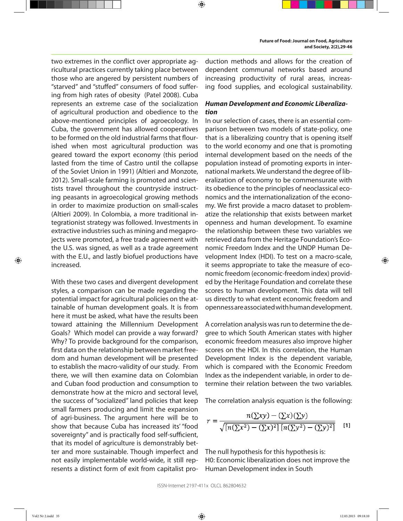two extremes in the confict over appropriate agricultural practices currently taking place between those who are angered by persistent numbers of "starved" and "stufed" consumers of food sufering from high rates of obesity (Patel 2008). Cuba represents an extreme case of the socialization of agricultural production and obedience to the above-mentioned principles of agroecology. In Cuba, the government has allowed cooperatives to be formed on the old industrial farms that flourished when most agricultural production was geared toward the export economy (this period lasted from the time of Castro until the collapse of the Soviet Union in 1991) (Altieri and Monzote, 2012). Small-scale farming is promoted and scientists travel throughout the countryside instructing peasants in agroecological growing methods in order to maximize production on small-scales (Altieri 2009). In Colombia, a more traditional integrationist strategy was followed. Investments in extractive industries such as mining and megaprojects were promoted, a free trade agreement with the U.S. was signed, as well as a trade agreement with the E.U., and lastly biofuel productions have increased.

With these two cases and divergent development styles, a comparison can be made regarding the potential impact for agricultural policies on the attainable of human development goals. It is from here it must be asked, what have the results been toward attaining the Millennium Development Goals? Which model can provide a way forward? Why? To provide background for the comparison, frst data on the relationship between market freedom and human development will be presented to establish the macro-validity of our study. From there, we will then examine data on Colombian and Cuban food production and consumption to demonstrate how at the micro and sectoral level, the success of "socialized" land policies that keep small farmers producing and limit the expansion of agri-business. The argument here will be to show that because Cuba has increased its' "food sovereignty" and is practically food self-sufficient, that its model of agriculture is demonstrably better and more sustainable. Though imperfect and not easily implementable world-wide, it still represents a distinct form of exit from capitalist production methods and allows for the creation of dependent communal networks based around increasing productivity of rural areas, increasing food supplies, and ecological sustainability.

⊕

#### **Human Development and Economic Liberalization**

In our selection of cases, there is an essential comparison between two models of state-policy, one that is a liberalizing country that is opening itself to the world economy and one that is promoting internal development based on the needs of the population instead of promoting exports in international markets. We understand the degree of liberalization of economy to be commensurate with its obedience to the principles of neoclassical economics and the internationalization of the economy. We frst provide a macro dataset to problematize the relationship that exists between market openness and human development. To examine the relationship between these two variables we retrieved data from the Heritage Foundation's Economic Freedom Index and the UNDP Human Development Index (HDI). To test on a macro-scale, it seems appropriate to take the measure of economic freedom (economic-freedom index) provided by the Heritage Foundation and correlate these scores to human development. This data will tell us directly to what extent economic freedom and openness are associated with human development.

A correlation analysis was run to determine the degree to which South American states with higher economic freedom measures also improve higher scores on the HDI. In this correlation, the Human Development Index is the dependent variable, which is compared with the Economic Freedom Index as the independent variable, in order to determine their relation between the two variables.

The correlation analysis equation is the following:

$$
r = \frac{n(\sum xy) - (\sum x)(\sum y)}{\sqrt{[n(\sum x^2) - (\sum x)^2][n(\sum y^2) - (\sum y)^2]}}
$$
 [1]

The null hypothesis for this hypothesis is: H0: Economic liberalization does not improve the Human Development index in South

⊕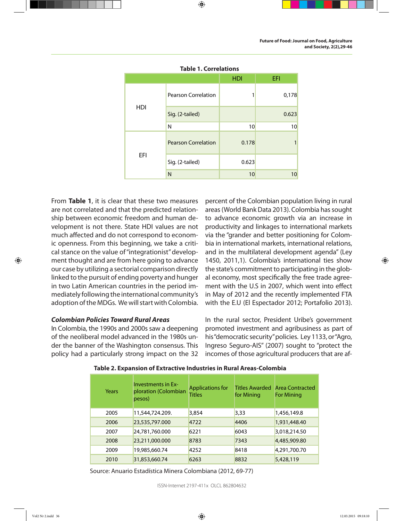| <b>Table 1. Correlations</b> |                            |            |       |  |
|------------------------------|----------------------------|------------|-------|--|
|                              |                            | <b>HDI</b> | EFI   |  |
| HDI                          | <b>Pearson Correlation</b> |            | 0,178 |  |
|                              | Sig. (2-tailed)            |            | 0.623 |  |
|                              | N                          | 10         | 10    |  |
| EFI                          | <b>Pearson Correlation</b> | 0.178      |       |  |
|                              | Sig. (2-tailed)            | 0.623      |       |  |
|                              | N                          | 10         | 10    |  |

⊕

From **Table 1**, it is clear that these two measures are not correlated and that the predicted relationship between economic freedom and human development is not there. State HDI values are not much afected and do not correspond to economic openness. From this beginning, we take a critical stance on the value of "integrationist" development thought and are from here going to advance our case by utilizing a sectorial comparison directly linked to the pursuit of ending poverty and hunger in two Latin American countries in the period immediately following the international community's adoption of the MDGs. We will start with Colombia.

#### **Colombian Policies Toward Rural Areas**

In Colombia, the 1990s and 2000s saw a deepening of the neoliberal model advanced in the 1980s under the banner of the Washington consensus. This policy had a particularly strong impact on the 32 percent of the Colombian population living in rural areas (World Bank Data 2013). Colombia has sought to advance economic growth via an increase in productivity and linkages to international markets via the "grander and better positioning for Colombia in international markets, international relations, and in the multilateral development agenda" (Ley 1450, 2011,1). Colombia's international ties show the state's commitment to participating in the global economy, most specifcally the free trade agreement with the U.S in 2007, which went into efect in May of 2012 and the recently implemented FTA with the E.U (El Espectador 2012; Portafolio 2013).

In the rural sector, President Uribe's government promoted investment and agribusiness as part of his "democratic security" policies. Ley 1133, or "Agro, Ingreso Seguro-AIS" (2007) sought to "protect the incomes of those agricultural producers that are af-

| Years | <b>Investments in Ex-</b><br>ploration (Colombian<br>pesos) | <b>Applications for</b><br><b>Titles</b> | for Mining | <b>Titles Awarded Area Contracted</b><br><b>For Mining</b> |
|-------|-------------------------------------------------------------|------------------------------------------|------------|------------------------------------------------------------|
| 2005  | 11,544,724.209.                                             | 3,854                                    | 3,33       | 1,456,149.8                                                |
| 2006  | 23,535,797.000                                              | 4722                                     | 4406       | 1,931,448.40                                               |
| 2007  | 24,781,760.000                                              | 6221                                     | 6043       | 3,018,214.50                                               |
| 2008  | 23,211,000.000                                              | 8783                                     | 7343       | 4,485,909.80                                               |
| 2009  | 19,985,660.74                                               | 4252                                     | 8418       | 4,291,700.70                                               |

**Table 2. Expansion of Extractive Industries in Rural Areas-Colombia**

Source: Anuario Estadística Minera Colombiana (2012, 69-77)

ISSN-Internet 2197-411x OLCL 862804632

2010 31,853,660.74 6263 8832 5,428,119

⊕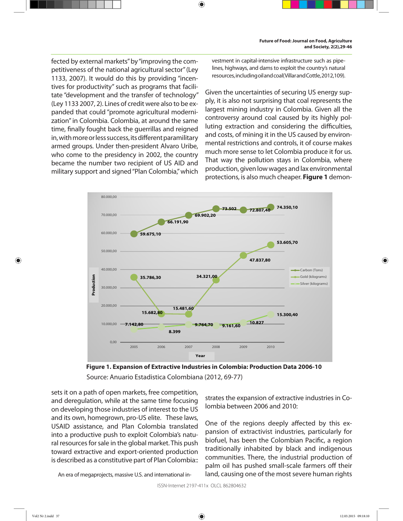fected by external markets" by "improving the competitiveness of the national agricultural sector" (Ley 1133, 2007). It would do this by providing "incentives for productivity" such as programs that facilitate "development and the transfer of technology" (Ley 1133 2007, 2). Lines of credit were also to be expanded that could "promote agricultural modernization" in Colombia. Colombia, at around the same time, fnally fought back the guerrillas and reigned in, with more or less success, its diferent paramilitary armed groups. Under then-president Alvaro Uribe, who come to the presidency in 2002, the country became the number two recipient of US AID and military support and signed "Plan Colombia," which

vestment in capital-intensive infrastructure such as pipelines, highways, and dams to exploit the country's natural resources, including oil and coal(Villar and Cottle, 2012,109).

Given the uncertainties of securing US energy supply, it is also not surprising that coal represents the largest mining industry in Colombia. Given all the controversy around coal caused by its highly polluting extraction and considering the difficulties, and costs, of mining it in the US caused by environmental restrictions and controls, it of course makes much more sense to let Colombia produce it for us. That way the pollution stays in Colombia, where production, given low wages and lax environmental protections, is also much cheaper. **Figure 1** demon-



 $\bigoplus$ 



sets it on a path of open markets, free competition, and deregulation, while at the same time focusing on developing those industries of interest to the US and its own, homegrown, pro-US elite. These laws, USAID assistance, and Plan Colombia translated into a productive push to exploit Colombia's natural resources for sale in the global market. This push toward extractive and export-oriented production is described as a constitutive part of Plan Colombia::

An era of megaprojects, massive U.S. and international in-

strates the expansion of extractive industries in Colombia between 2006 and 2010:

One of the regions deeply afected by this expansion of extractivist industries, particularly for biofuel, has been the Colombian Pacifc, a region traditionally inhabited by black and indigenous communities. There, the industrial production of palm oil has pushed small-scale farmers off their land, causing one of the most severe human rights

ISSN-Internet 2197-411x OLCL 862804632

⊕

Vol2 Nr 2.indd 37 12.03.2015 09:18:10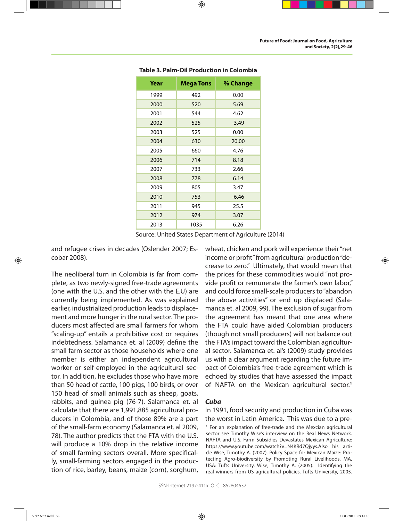| Year | <b>Mega Tons</b> | % Change |
|------|------------------|----------|
| 1999 | 492              | 0.00     |
| 2000 | 520              | 5.69     |
| 2001 | 544              | 4.62     |
| 2002 | 525              | $-3.49$  |
| 2003 | 525              | 0.00     |
| 2004 | 630              | 20.00    |
| 2005 | 660              | 4.76     |
| 2006 | 714              | 8.18     |
| 2007 | 733              | 2.66     |
| 2008 | 778              | 6.14     |
| 2009 | 805              | 3.47     |
| 2010 | 753              | $-6.46$  |
| 2011 | 945              | 25.5     |
| 2012 | 974              | 3.07     |
| 2013 | 1035             | 6.26     |

#### **Table 3. Palm-Oil Production in Colombia**

⊕

Source: United States Department of Agriculture (2014)

and refugee crises in decades (Oslender 2007; Escobar 2008).

The neoliberal turn in Colombia is far from complete, as two newly-signed free-trade agreements (one with the U.S. and the other with the E.U) are currently being implemented. As was explained earlier, industrialized production leads to displacement and more hunger in the rural sector. The producers most afected are small farmers for whom "scaling-up" entails a prohibitive cost or requires indebtedness. Salamanca et. al (2009) defne the small farm sector as those households where one member is either an independent agricultural worker or self-employed in the agricultural sector. In addition, he excludes those who have more than 50 head of cattle, 100 pigs, 100 birds, or over 150 head of small animals such as sheep, goats, rabbits, and guinea pig (76-7). Salamanca et. al calculate that there are 1,991,885 agricultural producers in Colombia, and of those 89% are a part of the small-farm economy (Salamanca et. al 2009, 78). The author predicts that the FTA with the U.S. will produce a 10% drop in the relative income of small farming sectors overall. More specifcally, small-farming sectors engaged in the production of rice, barley, beans, maize (corn), sorghum,

wheat, chicken and pork will experience their "net income or proft" from agricultural production "decrease to zero." Ultimately, that would mean that the prices for these commodities would "not provide proft or remunerate the farmer's own labor," and could force small-scale producers to "abandon the above activities" or end up displaced (Salamanca et. al 2009, 99). The exclusion of sugar from the agreement has meant that one area where the FTA could have aided Colombian producers (though not small producers) will not balance out the FTA's impact toward the Colombian agricultural sector. Salamanca et. al's (2009) study provides us with a clear argument regarding the future impact of Colombia's free-trade agreement which is echoed by studies that have assessed the impact of NAFTA on the Mexican agricultural sector.**<sup>1</sup>**

#### **Cuba**

#### In 1991, food security and production in Cuba was the worst in Latin America. This was due to a pre- 1 For an explanation of free-trade and the Mexcian agricultural sector see Timothy Wise's interview on the Real News Network. NAFTA and U.S. Farm Subsidies Devastates Mexican Agriculture: https://www.youtube.com/watch?v=N4KRd7Qjyys.Also his article Wise, Timothy A. (2007). Policy Space for Mexican Maize: Protecting Agro-biodiversity by Promoting Rural Livelihoods. MA, USA: Tufts University. Wise, Timothy A. (2005). Identifying the real winners from US agricultural policies. Tufts University, 2005.

⊕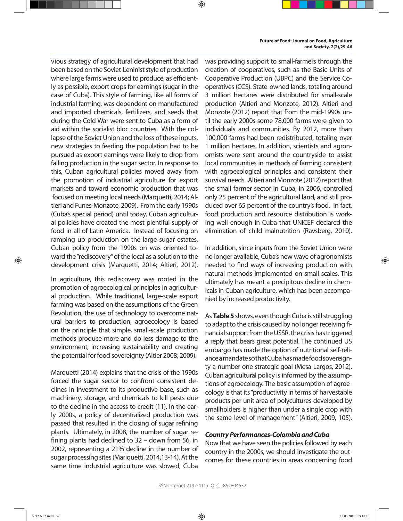vious strategy of agricultural development that had been based on the Soviet-Leninist style of production where large farms were used to produce, as efficiently as possible, export crops for earnings (sugar in the case of Cuba). This style of farming, like all forms of industrial farming, was dependent on manufactured and imported chemicals, fertilizers, and seeds that during the Cold War were sent to Cuba as a form of aid within the socialist bloc countries. With the collapse of the Soviet Union and the loss of these inputs, new strategies to feeding the population had to be pursued as export earnings were likely to drop from falling production in the sugar sector. In response to this, Cuban agricultural policies moved away from the promotion of industrial agriculture for export markets and toward economic production that was focused on meeting local needs (Marquetti, 2014; Altieri and Funes-Monzote, 2009). From the early 1990s (Cuba's special period) until today, Cuban agricultural policies have created the most plentiful supply of food in all of Latin America. Instead of focusing on ramping up production on the large sugar estates, Cuban policy from the 1990s on was oriented toward the "rediscovery" of the local as a solution to the development crisis (Marquetti, 2014; Altieri, 2012).

In agriculture, this rediscovery was rooted in the promotion of agroecological principles in agricultural production. While traditional, large-scale export farming was based on the assumptions of the Green Revolution, the use of technology to overcome natural barriers to production, agroecology is based on the principle that simple, small-scale production methods produce more and do less damage to the environment, increasing sustainability and creating the potential for food sovereignty (Altier 2008; 2009).

Marquetti (2014) explains that the crisis of the 1990s forced the sugar sector to confront consistent declines in investment to its productive base, such as machinery, storage, and chemicals to kill pests due to the decline in the access to credit (11). In the early 2000s, a policy of decentralized production was passed that resulted in the closing of sugar refning plants. Ultimately, in 2008, the number of sugar refning plants had declined to 32 – down from 56, in 2002, representing a 21% decline in the number of sugar processing sites (Mariquetti, 2014,13-14). At the same time industrial agriculture was slowed, Cuba

was providing support to small-farmers through the creation of cooperatives, such as the Basic Units of Cooperative Production (UBPC) and the Service Cooperatives (CCS). State-owned lands, totaling around 3 million hectares were distributed for small-scale production (Altieri and Monzote, 2012). Altieri and Monzote (2012) report that from the mid-1990s until the early 2000s some 78,000 farms were given to individuals and communities. By 2012, more than 100,000 farms had been redistributed, totaling over 1 million hectares. In addition, scientists and agronomists were sent around the countryside to assist local communities in methods of farming consistent with agroecological principles and consistent their survival needs. Altieri and Monzote (2012) report that the small farmer sector in Cuba, in 2006, controlled only 25 percent of the agricultural land, and still produced over 65 percent of the country's food. In fact, food production and resource distribution is working well enough in Cuba that UNICEF declared the elimination of child malnutrition (Ravsberg, 2010).

In addition, since inputs from the Soviet Union were no longer available, Cuba's new wave of agronomists needed to fnd ways of increasing production with natural methods implemented on small scales. This ultimately has meant a precipitous decline in chemicals in Cuban agriculture, which has been accompanied by increased productivity.

As **Table 5** shows, even though Cuba is still struggling to adapt to the crisis caused by no longer receiving fnancial support from the USSR, the crisis has triggered a reply that bears great potential. The continued US embargo has made the option of nutritional self-reliance a mandate so that Cuba has made food sovereignty a number one strategic goal (Mesa-Largos, 2012). Cuban agricultural policy is informed by the assumptions of agroecology. The basic assumption of agroecology is that its "productivity in terms of harvestable products per unit area of polycultures developed by smallholders is higher than under a single crop with the same level of management" (Altieri, 2009, 105).

#### **Country Performances-Colombia and Cuba**

Now that we have seen the policies followed by each country in the 2000s, we should investigate the outcomes for these countries in areas concerning food

⊕

⊕

Vol2 Nr 2.indd 39 12.03.2015 09:18:10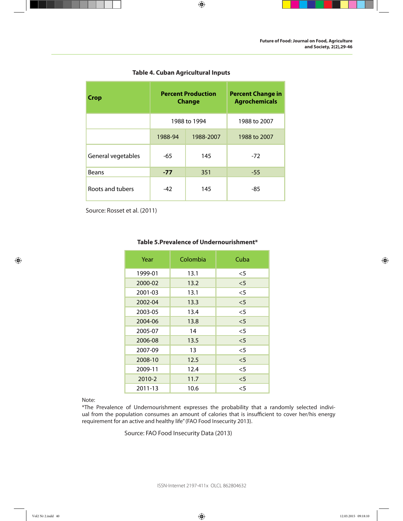

| <b>Crop</b>        | <b>Percent Production</b><br><b>Change</b> |              | <b>Percent Change in</b><br><b>Agrochemicals</b> |
|--------------------|--------------------------------------------|--------------|--------------------------------------------------|
|                    |                                            | 1988 to 1994 | 1988 to 2007                                     |
|                    | 1988-94                                    | 1988-2007    | 1988 to 2007                                     |
| General vegetables | -65                                        | 145          | $-72$                                            |
| <b>Beans</b>       | $-77$                                      | 351          | $-55$                                            |
| Roots and tubers   | $-42$                                      | 145          | -85                                              |

#### **Table 4. Cuban Agricultural Inputs**

 $\bigoplus$ 

Source: Rosset et al. (2011)

#### **Table 5.Prevalence of Undernourishment\***

| Year    | Colombia | Cuba   |
|---------|----------|--------|
| 1999-01 | 13.1     | $<$ 5  |
| 2000-02 | 13.2     | $\leq$ |
| 2001-03 | 13.1     | $<$ 5  |
| 2002-04 | 13.3     | $\leq$ |
| 2003-05 | 13.4     | $<$ 5  |
| 2004-06 | 13.8     | $\leq$ |
| 2005-07 | 14       | $<$ 5  |
| 2006-08 | 13.5     | $<$ 5  |
| 2007-09 | 13       | $<$ 5  |
| 2008-10 | 12.5     | $\leq$ |
| 2009-11 | 12.4     | $<$ 5  |
| 2010-2  | 11.7     | < 5    |
| 2011-13 | 10.6     | $<$ 5  |
|         |          |        |

Note:

\*The Prevalence of Undernourishment expresses the probability that a randomly selected indiviual from the population consumes an amount of calories that is insufficient to cover her/his energy requirement for an active and healthy life" (FAO Food Insecurity 2013).

Source: FAO Food Insecurity Data (2013)

ISSN-Internet 2197-411x OLCL 862804632

 $\bigoplus$ 

Vol2 Nr 2.indd 40 12.03.2015 09:18:10 12.03.2015 09:18:10 12.03.2015 09:18:10

 $\bigoplus$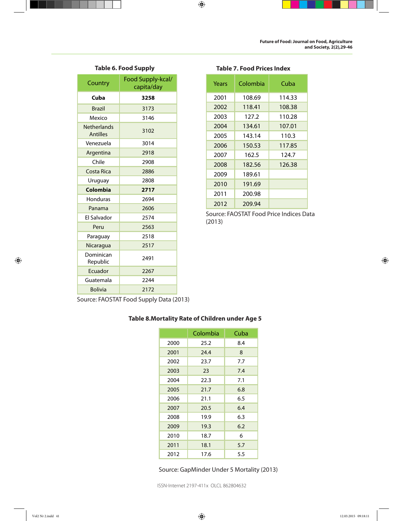

|  |  |  | <b>Table 6. Food Supply</b> |  |  |
|--|--|--|-----------------------------|--|--|
|--|--|--|-----------------------------|--|--|

| Country                               | Food Supply-kcal/<br>capita/day |
|---------------------------------------|---------------------------------|
| Cuba                                  | 3258                            |
| <b>Brazil</b>                         | 3173                            |
| Mexico                                | 3146                            |
| <b>Netherlands</b><br><b>Antilles</b> | 3102                            |
| Venezuela                             | 3014                            |
| Argentina                             | 2918                            |
| Chile                                 | 2908                            |
| Costa Rica                            | 2886                            |
| Uruguay                               | 2808                            |
| Colombia                              | 2717                            |
| Honduras                              | 2694                            |
| Panama                                | 2606                            |
| El Salvador                           | 2574                            |
| Peru                                  | 2563                            |
| Paraguay                              | 2518                            |
| Nicaragua                             | 2517                            |
| Dominican<br>Republic                 | 2491                            |
| Ecuador                               | 2267                            |
| Guatemala                             | 2244                            |
| <b>Bolivia</b>                        | 2172                            |

| Years | Colombia | Cuba   |
|-------|----------|--------|
| 2001  | 108.69   | 114.33 |
| 2002  | 118.41   | 108.38 |
| 2003  | 127.2    | 110.28 |
| 2004  | 134.61   | 107.01 |
| 2005  | 143.14   | 110.3  |
| 2006  | 150.53   | 117.85 |
| 2007  | 162.5    | 124.7  |
| 2008  | 182.56   | 126.38 |
| 2009  | 189.61   |        |
| 2010  | 191.69   |        |
| 2011  | 200.98   |        |
| 2012  | 209.94   |        |
|       |          |        |

**Table 7. Food Prices Index**

 $\bigoplus$ 

Source: FAOSTAT Food Price Indices Data (2013)

Source: FAOSTAT Food Supply Data (2013)

#### **Table 8.Mortality Rate of Children under Age 5**

|      | Colombia | Cuba |
|------|----------|------|
| 2000 | 25.2     | 8.4  |
| 2001 | 24.4     | 8    |
| 2002 | 23.7     | 7.7  |
| 2003 | 23       | 7.4  |
| 2004 | 22.3     | 7.1  |
| 2005 | 21.7     | 6.8  |
| 2006 | 21.1     | 6.5  |
| 2007 | 20.5     | 6.4  |
| 2008 | 19.9     | 6.3  |
| 2009 | 19.3     | 6.2  |
| 2010 | 18.7     | 6    |
| 2011 | 18.1     | 5.7  |
| 2012 | 17.6     | 5.5  |

Source: GapMinder Under 5 Mortality (2013)

ISSN-Internet 2197-411x OLCL 862804632

 $\bigoplus$ 

 $\bigoplus$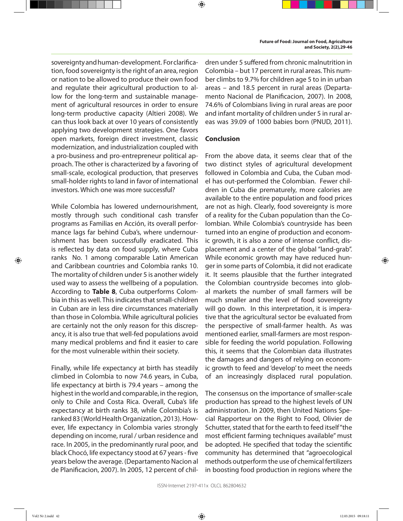sovereignty and human-development. For clarifcation, food sovereignty is the right of an area, region or nation to be allowed to produce their own food and regulate their agricultural production to allow for the long-term and sustainable management of agricultural resources in order to ensure long-term productive capacity (Altieri 2008). We can thus look back at over 10 years of consistently applying two development strategies. One favors open markets, foreign direct investment, classic modernization, and industrialization coupled with a pro-business and pro-entrepreneur political approach. The other is characterized by a favoring of small-scale, ecological production, that preserves small-holder rights to land in favor of international investors. Which one was more successful?

While Colombia has lowered undernourishment, mostly through such conditional cash transfer programs as Familias en Acción, its overall performance lags far behind Cuba's, where undernourishment has been successfully eradicated. This is refected by data on food supply, where Cuba ranks No. 1 among comparable Latin American and Caribbean countries and Colombia ranks 10. The mortality of children under 5 is another widely used way to assess the wellbeing of a population. According to **Table 8**, Cuba outperforms Colombia in this as well. This indicates that small-children in Cuban are in less dire circumstances materially than those in Colombia. While agricultural policies are certainly not the only reason for this discrepancy, it is also true that well-fed populations avoid many medical problems and fnd it easier to care for the most vulnerable within their society.

Finally, while life expectancy at birth has steadily climbed in Colombia to now 74.6 years, in Cuba, life expectancy at birth is 79.4 years – among the highest in the world and comparable, in the region, only to Chile and Costa Rica. Overall, Cuba's life expectancy at birth ranks 38, while Colombia's is ranked 83 (World Health Organization, 2013). However, life expectancy in Colombia varies strongly depending on income, rural / urban residence and race. In 2005, in the predominantly rural poor, and black Chocó, life expectancy stood at 67 years - fve years below the average. (Departamento Nacion al de Planifcacion, 2007). In 2005, 12 percent of children under 5 sufered from chronic malnutrition in Colombia – but 17 percent in rural areas. This number climbs to 9.7% for children age 5 to in in urban areas – and 18.5 percent in rural areas (Departamento Nacional de Planifcacion, 2007). In 2008, 74.6% of Colombians living in rural areas are poor and infant mortality of children under 5 in rural areas was 39.09 of 1000 babies born (PNUD, 2011).

#### **Conclusion**

⊕

From the above data, it seems clear that of the two distinct styles of agricultural development followed in Colombia and Cuba, the Cuban model has out-performed the Colombian. Fewer children in Cuba die prematurely, more calories are available to the entire population and food prices are not as high. Clearly, food sovereignty is more of a reality for the Cuban population than the Colombian. While Colombia's countryside has been turned into an engine of production and economic growth, it is also a zone of intense confict, displacement and a center of the global "land-grab". While economic growth may have reduced hunger in some parts of Colombia, it did not eradicate it. It seems plausible that the further integrated the Colombian countryside becomes into global markets the number of small farmers will be much smaller and the level of food sovereignty will go down. In this interpretation, it is imperative that the agricultural sector be evaluated from the perspective of small-farmer health. As was mentioned earlier, small-farmers are most responsible for feeding the world population. Following this, it seems that the Colombian data illustrates the damages and dangers of relying on economic growth to feed and 'develop' to meet the needs of an increasingly displaced rural population.

The consensus on the importance of smaller-scale production has spread to the highest levels of UN administration. In 2009, then United Nations Special Rapporteur on the Right to Food, Olivier de Schutter, stated that for the earth to feed itself "the most efficient farming techniques available" must be adopted. He specifed that today the scientifc community has determined that "agroecological methods outperform the use of chemical fertilizers in boosting food production in regions where the

⊕

Vol2 Nr 2.indd 42 12.03.2015 09:18:11 12.03.2015 09:18:11 12.03.2015 09:18:11 12.03.2015 09:18:11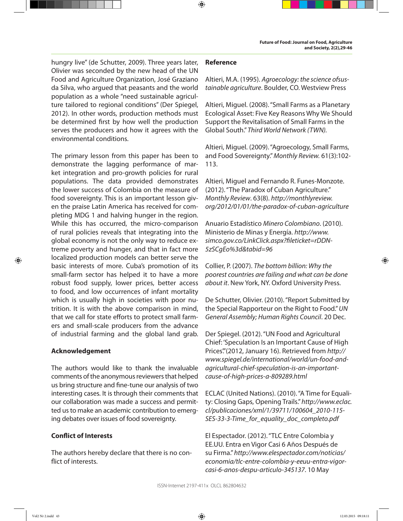hungry live" (de Schutter, 2009). Three years later, Olivier was seconded by the new head of the UN Food and Agriculture Organization, José Graziano da Silva, who argued that peasants and the world population as a whole "need sustainable agriculture tailored to regional conditions" (Der Spiegel, 2012). In other words, production methods must be determined frst by how well the production serves the producers and how it agrees with the environmental conditions.

The primary lesson from this paper has been to demonstrate the lagging performance of market integration and pro-growth policies for rural populations. The data provided demonstrates the lower success of Colombia on the measure of food sovereignty. This is an important lesson given the praise Latin America has received for completing MDG 1 and halving hunger in the region. While this has occurred, the micro-comparison of rural policies reveals that integrating into the global economy is not the only way to reduce extreme poverty and hunger, and that in fact more localized production models can better serve the basic interests of more. Cuba's promotion of its small-farm sector has helped it to have a more robust food supply, lower prices, better access to food, and low occurrences of infant mortality which is usually high in societies with poor nutrition. It is with the above comparison in mind, that we call for state efforts to protect small farmers and small-scale producers from the advance of industrial farming and the global land grab.

#### **Acknowledgement**

The authors would like to thank the invaluable comments of the anonymous reviewers that helped us bring structure and fne-tune our analysis of two interesting cases. It is through their comments that our collaboration was made a success and permitted us to make an academic contribution to emerging debates over issues of food sovereignty.

#### **Confict of Interests**

The authors hereby declare that there is no confict of interests.

#### **Reference**

⊕

Altieri, M.A. (1995). Agroecology: the science ofsustainable agriculture. Boulder, CO. Westview Press

Altieri, Miguel. (2008). "Small Farms as a Planetary Ecological Asset: Five Key Reasons Why We Should Support the Revitalisation of Small Farms in the Global South." Third World Network (TWN).

Altieri, Miguel. (2009). "Agroecology, Small Farms, and Food Sovereignty." Monthly Review. 61(3):102- 113.

Altieri, Miguel and Fernando R. Funes-Monzote. (2012). "The Paradox of Cuban Agriculture." Monthly Review. 63(8). http://monthlyreview. org/2012/01/01/the-paradox-of-cuban-agriculture

Anuario Estadístico Minero Colombiano. (2010). Ministerio de Minas y Energía. http://www. simco.gov.co/LinkClick.aspx?fleticket=rDDN-5zSCgEo%3d&tabid=96

Collier, P. (2007). The bottom billion: Why the poorest countries are failing and what can be done about it. New York, NY. Oxford University Press.

De Schutter, Olivier. (2010). "Report Submitted by the Special Rapporteur on the Right to Food." UN General Assembly; Human Rights Council. 20 Dec.

Der Spiegel. (2012). "UN Food and Agricultural Chief: 'Speculation Is an Important Cause of High Prices." (2012, January 16). Retrieved from http:// www.spiegel.de/international/world/un-food-andagricultural-chief-speculation-is-an-importantcause-of-high-prices-a-809289.html

ECLAC (United Nations). (2010). "A Time for Equality: Closing Gaps, Opening Trails." http://www.eclac. cl/publicaciones/xml/1/39711/100604\_2010-115- SES-33-3-Time\_for\_equality\_doc\_completo.pdf

El Espectador. (2012). "TLC Entre Colombia y EE.UU. Entra en Vigor Casi 6 Años Después de su Firma." http://www.elespectador.com/noticias/ economia/tlc-entre-colombia-y-eeuu-entra-vigorcasi-6-anos-despu-articulo-345137. 10 May

⊕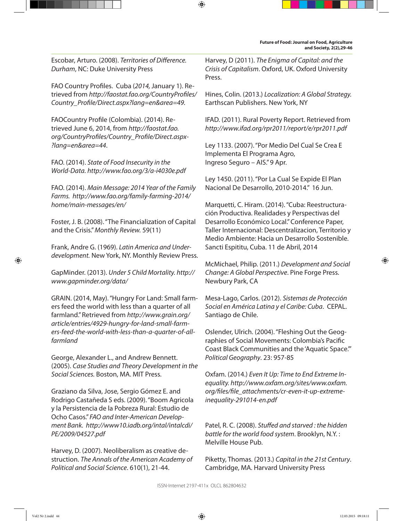Escobar, Arturo. (2008). Territories of Diference. Durham, NC: Duke University Press

FAO Country Profles. Cuba (2014, January 1). Retrieved from http://faostat.fao.org/CountryProfles/ Country\_Profle/Direct.aspx?lang=en&area=49.

FAOCountry Profle (Colombia). (2014). Retrieved June 6, 2014, from http://faostat.fao. org/CountryProfles/Country\_Profle/Direct.aspx- ?lang=en&area=44.

FAO. (2014). State of Food Insecurity in the World-Data. http://www.fao.org/3/a-i4030e.pdf

FAO. (2014). Main Message: 2014 Year of the Family Farms. http://www.fao.org/family-farming-2014/ home/main-messages/en/

Foster, J. B. (2008). "The Financialization of Capital and the Crisis." Monthly Review. 59(11)

Frank, Andre G. (1969). Latin America and Underdevelopment. New York, NY. Monthly Review Press.

GapMinder. (2013). Under 5 Child Mortality. http:// www.gapminder.org/data/

GRAIN. (2014, May). "Hungry For Land: Small farmers feed the world with less than a quarter of all farmland." Retrieved from http://www.grain.org/ article/entries/4929-hungry-for-land-small-farmers-feed-the-world-with-less-than-a-quarter-of-allfarmland

George, Alexander L., and Andrew Bennett. (2005). Case Studies and Theory Development in the Social Sciences. Boston, MA. MIT Press.

Graziano da Silva, Jose, Sergio Gómez E. and Rodrigo Castañeda S eds. (2009). "Boom Agricola y la Persistencia de la Pobreza Rural: Estudio de Ocho Casos." FAO and Inter-American Development Bank. http://www10.iadb.org/intal/intalcdi/ PE/2009/04527.pdf

Harvey, D. (2007). Neoliberalism as creative destruction. The Annals of the American Academy of Political and Social Science. 610(1), 21-44.

Harvey, D (2011). The Enigma of Capital: and the Crisis of Capitalism. Oxford, UK. Oxford University Press.

⊕

Hines, Colin. (2013.) Localization: A Global Strategy. Earthscan Publishers. New York, NY

IFAD. (2011). Rural Poverty Report. Retrieved from http://www.ifad.org/rpr2011/report/e/rpr2011.pdf

Ley 1133. (2007). "Por Medio Del Cual Se Crea E Implementa El Programa Agro, Ingreso Seguro – AIS." 9 Apr.

Ley 1450. (2011). "Por La Cual Se Expide El Plan Nacional De Desarrollo, 2010-2014." 16 Jun.

Marquetti, C. Hiram. (2014). "Cuba: Reestructuración Productiva. Realidades y Perspectivas del Desarrollo Económico Local." Conference Paper, Taller Internacional: Descentralizacion, Territorio y Medio Ambiente: Hacia un Desarrollo Sostenible. Sancti Espititu, Cuba. 11 de Abril, 2014

⊕

McMichael, Philip. (2011.) Development and Social Change: A Global Perspective. Pine Forge Press. Newbury Park, CA

Mesa-Lago, Carlos. (2012). Sistemas de Protección Social en América Latina y el Caribe: Cuba. CEPAL. Santiago de Chile.

Oslender, Ulrich. (2004). "Fleshing Out the Geographies of Social Movements: Colombia's Pacifc Coast Black Communities and the 'Aquatic Space.'" Political Geography. 23: 957-85

Oxfam. (2014.) Even It Up: Time to End Extreme Inequality. http://www.oxfam.org/sites/www.oxfam. org/fles/fle\_attachments/cr-even-it-up-extremeinequality-291014-en.pdf

Patel, R. C. (2008). Stuffed and starved : the hidden battle for the world food system. Brooklyn, N.Y. : Melville House Pub.

Piketty, Thomas. (2013.) Capital in the 21st Century. Cambridge, MA. Harvard University Press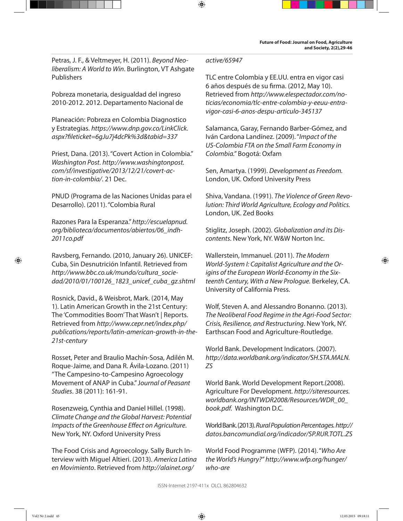Petras, J. F., & Veltmeyer, H. (2011). Beyond Neoliberalism: A World to Win. Burlington, VT Ashgate Publishers

Pobreza monetaria, desigualdad del ingreso 2010-2012. 2012. Departamento Nacional de

Planeación: Pobreza en Colombia Diagnostico y Estrategias. https://www.dnp.gov.co/LinkClick. aspx?fleticket=6gJu7j4dcPk%3d&tabid=337

Priest, Dana. (2013). "Covert Action in Colombia." Washington Post. http://www.washingtonpost. com/sf/investigative/2013/12/21/covert-action-in-colombia/. 21 Dec.

PNUD (Programa de las Naciones Unidas para el Desarrollo). (2011). "Colombia Rural

Razones Para la Esperanza." http://escuelapnud. org/biblioteca/documentos/abiertos/06\_indh-2011co.pdf

Ravsberg, Fernando. (2010, January 26). UNICEF: Cuba, Sin Desnutrición Infantil. Retrieved from http://www.bbc.co.uk/mundo/cultura\_sociedad/2010/01/100126\_1823\_unicef\_cuba\_gz.shtml

Rosnick, David., & Weisbrot, Mark. (2014, May 1). Latin American Growth in the 21st Century: The 'Commodities Boom' That Wasn't | Reports. Retrieved from http://www.cepr.net/index.php/ publications/reports/latin-american-growth-in-the-21st-century

Rosset, Peter and Braulio Machín-Sosa, Adilén M. Roque-Jaime, and Dana R. Ávila-Lozano. (2011) "The Campesino-to-Campesino Agroecology Movement of ANAP in Cuba." Journal of Peasant Studies. 38 (2011): 161-91.

Rosenzweig, Cynthia and Daniel Hillel. (1998). Climate Change and the Global Harvest: Potential Impacts of the Greenhouse Efect on Agriculture. New York, NY. Oxford University Press

The Food Crisis and Agroecology. Sally Burch Interview with Miguel Altieri. (2013). America Latina en Movimiento. Retrieved from http://alainet.org/

#### active/65947

⊕

TLC entre Colombia y EE.UU. entra en vigor casi 6 años después de su frma. (2012, May 10). Retrieved from http://www.elespectador.com/noticias/economia/tlc-entre-colombia-y-eeuu-entravigor-casi-6-anos-despu-articulo-345137

Salamanca, Garay, Fernando Barber-Gómez, and Iván Cardona Landínez. (2009). "Impact of the US-Colombia FTA on the Small Farm Economy in Colombia." Bogotá: Oxfam

Sen, Amartya. (1999). Development as Freedom. London, UK. Oxford University Press

Shiva, Vandana. (1991). The Violence of Green Revolution: Third World Agriculture, Ecology and Politics. London, UK. Zed Books

Stiglitz, Joseph. (2002). Globalization and its Discontents. New York, NY. W&W Norton Inc.

Wallerstein, Immanuel. (2011). The Modern World-System I: Capitalist Agriculture and the Origins of the European World-Economy in the Sixteenth Century, With a New Prologue. Berkeley, CA. University of California Press.

Wolf, Steven A. and Alessandro Bonanno. (2013). The Neoliberal Food Regime in the Agri-Food Sector: Crisis, Resilience, and Restructuring. New York, NY. Earthscan Food and Agriculture-Routledge.

World Bank. Development Indicators. (2007). http://data.worldbank.org/indicator/SH.STA.MALN. ZS

World Bank. World Development Report.(2008). Agriculture For Development. http://siteresources. worldbank.org/INTWDR2008/Resources/WDR\_00\_ book.pdf. Washington D.C.

World Bank. (2013). Rural Population Percentages. http:// datos.bancomundial.org/indicador/SP.RUR.TOTL.ZS

World Food Programme (WFP). (2014). "Who Are the World's Hungry?" http://www.wfp.org/hunger/ who-are